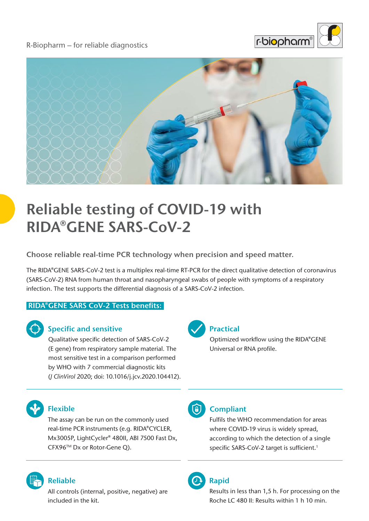R-Biopharm – for reliable diagnostics





# **Reliable testing of COVID-19 with RIDA®GENE SARS-CoV-2**

**Choose reliable real-time PCR technology when precision and speed matter.**

The RIDA®GENE SARS-CoV-2 test is a multiplex real-time RT-PCR for the direct qualitative detection of coronavirus (SARS-CoV-2) RNA from human throat and nasopharyngeal swabs of people with symptoms of a respiratory infection. The test supports the differential diagnosis of a SARS-CoV-2 infection.

#### **RIDA®GENE SARS CoV-2 Tests benefits:**



#### **Specific and sensitive**

Qualitative specific detection of SARS-CoV-2 (E gene) from respiratory sample material. The most sensitive test in a comparison performed by WHO with 7 commercial diagnostic kits (*J ClinVirol* 2020; doi: 10.1016/j.jcv.2020.104412).



#### **Practical**

Optimized workflow using the RIDA®GENE Universal or RNA profile.



### **Flexible**

The assay can be run on the commonly used real-time PCR instruments (e.g. RIDA®CYCLER, Mx3005P, LightCycler® 480II, ABI 7500 Fast Dx, CFX96TM Dx or Rotor-Gene Q).



### **Reliable**

All controls (internal, positive, negative) are included in the kit.



# **Compliant**

Fulfils the WHO recommendation for areas where COVID-19 virus is widely spread, according to which the detection of a single specific SARS-CoV-2 target is sufficient.<sup>1</sup>



# **Rapid**

Results in less than 1,5 h. For processing on the Roche LC 480 II: Results within 1 h 10 min.